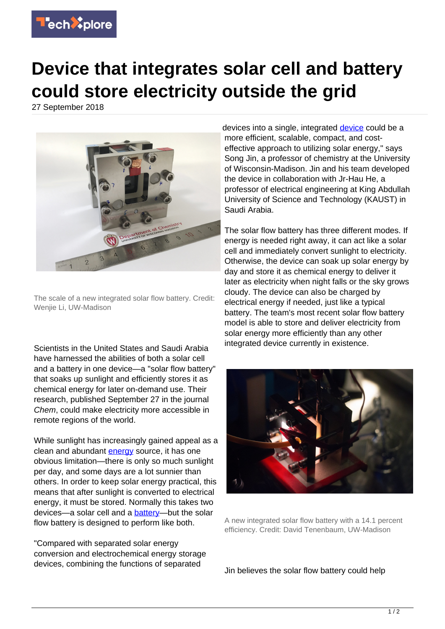

## **Device that integrates solar cell and battery could store electricity outside the grid**

27 September 2018



The scale of a new integrated solar flow battery. Credit: Wenjie Li, UW-Madison

Scientists in the United States and Saudi Arabia have harnessed the abilities of both a solar cell and a battery in one device—a "solar flow battery" that soaks up sunlight and efficiently stores it as chemical energy for later on-demand use. Their research, published September 27 in the journal Chem, could make electricity more accessible in remote regions of the world.

While sunlight has increasingly gained appeal as a clean and abundant [energy](https://techxplore.com/tags/energy/) source, it has one obvious limitation—there is only so much sunlight per day, and some days are a lot sunnier than others. In order to keep solar energy practical, this means that after sunlight is converted to electrical energy, it must be stored. Normally this takes two devices—a solar cell and a [battery](https://techxplore.com/tags/battery/)—but the solar flow battery is designed to perform like both.

"Compared with separated solar energy conversion and electrochemical energy storage devices, combining the functions of separated

devices into a single, integrated [device](https://techxplore.com/tags/device/) could be a more efficient, scalable, compact, and costeffective approach to utilizing solar energy," says Song Jin, a professor of chemistry at the University of Wisconsin-Madison. Jin and his team developed the device in collaboration with Jr-Hau He, a professor of electrical engineering at King Abdullah University of Science and Technology (KAUST) in Saudi Arabia.

The solar flow battery has three different modes. If energy is needed right away, it can act like a solar cell and immediately convert sunlight to electricity. Otherwise, the device can soak up solar energy by day and store it as chemical energy to deliver it later as electricity when night falls or the sky grows cloudy. The device can also be charged by electrical energy if needed, just like a typical battery. The team's most recent solar flow battery model is able to store and deliver electricity from solar energy more efficiently than any other integrated device currently in existence.



A new integrated solar flow battery with a 14.1 percent efficiency. Credit: David Tenenbaum, UW-Madison

Jin believes the solar flow battery could help